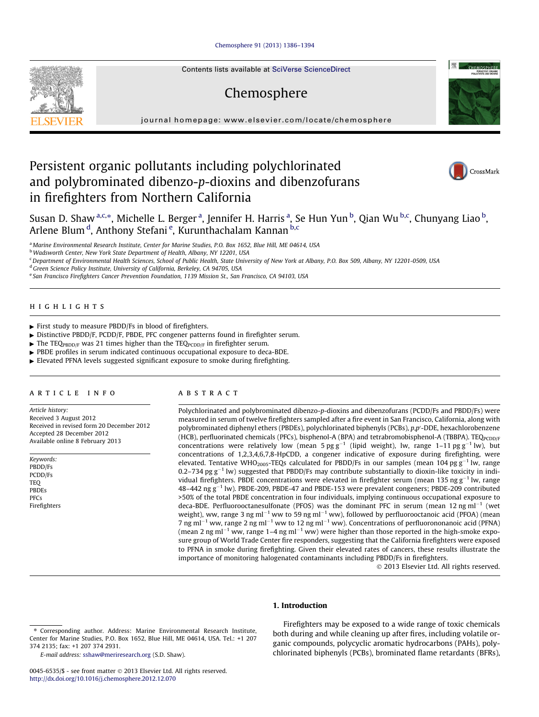## [Chemosphere 91 \(2013\) 1386–1394](http://dx.doi.org/10.1016/j.chemosphere.2012.12.070)

Contents lists available at SciVerse ScienceDirect

# Chemosphere

journal homepage: [www.elsevier.com/locate/chemosphere](http://www.elsevier.com/locate/chemosphere)

## Persistent organic pollutants including polychlorinated and polybrominated dibenzo-p-dioxins and dibenzofurans in firefighters from Northern California



CHEMOSPHERE



Susan D. Shaw <sup>a,c,</sup>\*, Michelle L. Berger <sup>a</sup>, Jennifer H. Harris <sup>a</sup>, Se Hun Yun <sup>b</sup>, Qian Wu <sup>b,c</sup>, Chunyang Liao <sup>b</sup>, Arlene Blum <sup>d</sup>, Anthony Stefani <sup>e</sup>, Kurunthachalam Kannan <sup>b,c</sup>

<sup>a</sup> Marine Environmental Research Institute, Center for Marine Studies, P.O. Box 1652, Blue Hill, ME 04614, USA

b Wadsworth Center, New York State Department of Health, Albany, NY 12201, USA

<sup>c</sup> Department of Environmental Health Sciences, School of Public Health, State University of New York at Albany, P.O. Box 509, Albany, NY 12201-0509, USA

<sup>d</sup> Green Science Policy Institute, University of California, Berkeley, CA 94705, USA

<sup>e</sup> San Francisco Firefighters Cancer Prevention Foundation, 1139 Mission St., San Francisco, CA 94103, USA

## highlights

- $\blacktriangleright$  First study to measure PBDD/Fs in blood of firefighters.
- $\triangleright$  Distinctive PBDD/F, PCDD/F, PBDE, PFC congener patterns found in firefighter serum.
- $\triangleright$  The TEQ PBDD/F was 21 times higher than the TEQ PCDD/F in firefighter serum.
- PBDE profiles in serum indicated continuous occupational exposure to deca-BDE.
- Elevated PFNA levels suggested significant exposure to smoke during firefighting.

## article info

Article history: Received 3 August 2012 Received in revised form 20 December 2012 Accepted 28 December 2012 Available online 8 February 2013

Keywords: PBDD/Fs PCDD/Fs **TEO** PBDEs PFCs Firefighters

#### **ABSTRACT**

Polychlorinated and polybrominated dibenzo-p-dioxins and dibenzofurans (PCDD/Fs and PBDD/Fs) were measured in serum of twelve firefighters sampled after a fire event in San Francisco, California, along with polybrominated diphenyl ethers (PBDEs), polychlorinated biphenyls (PCBs), p,p'-DDE, hexachlorobenzene (HCB), perfluorinated chemicals (PFCs), bisphenol-A (BPA) and tetrabromobisphenol-A (TBBPA). TEQ<sub>PCDD/F</sub> concentrations were relatively low (mean  $5 \text{ pg g}^{-1}$  (lipid weight), lw, range 1–11 pg g<sup>-1</sup> lw), but concentrations of 1,2,3,4,6,7,8-HpCDD, a congener indicative of exposure during firefighting, were elevated. Tentative WHO<sub>2005</sub>-TEQs calculated for PBDD/Fs in our samples (mean 104 pg  $g^{-1}$  lw, range 0.2–734 pg  $g^{-1}$  lw) suggested that PBDD/Fs may contribute substantially to dioxin-like toxicity in individual firefighters. PBDE concentrations were elevated in firefighter serum (mean 135 ng  $g^{-1}$  lw, range  $48-442$  ng  $g^{-1}$  lw). PBDE-209, PBDE-47 and PBDE-153 were prevalent congeners; PBDE-209 contributed  $>50\%$  of the total PBDE concentration in four individuals, implying continuous occupational exposure to deca-BDE. Perfluorooctanesulfonate (PFOS) was the dominant PFC in serum (mean 12 ng ml<sup>-1</sup> (wet weight), ww, range 3 ng ml<sup>-1</sup> ww to 59 ng ml<sup>-1</sup> ww), followed by perfluorooctanoic acid (PFOA) (mean 7 ng ml<sup>-1</sup> ww, range 2 ng ml<sup>-1</sup> ww to 12 ng ml<sup>-1</sup> ww). Concentrations of perfluorononanoic acid (PFNA) (mean 2 ng ml<sup>-1</sup> ww, range 1–4 ng ml<sup>-1</sup> ww) were higher than those reported in the high-smoke exposure group of World Trade Center fire responders, suggesting that the California firefighters were exposed to PFNA in smoke during firefighting. Given their elevated rates of cancers, these results illustrate the importance of monitoring halogenated contaminants including PBDD/Fs in firefighters.

- 2013 Elsevier Ltd. All rights reserved.

#### 1. Introduction

Firefighters may be exposed to a wide range of toxic chemicals both during and while cleaning up after fires, including volatile organic compounds, polycyclic aromatic hydrocarbons (PAHs), polychlorinated biphenyls (PCBs), brominated flame retardants (BFRs),

<sup>⇑</sup> Corresponding author. Address: Marine Environmental Research Institute, Center for Marine Studies, P.O. Box 1652, Blue Hill, ME 04614, USA. Tel.: +1 207 374 2135; fax: +1 207 374 2931.

E-mail address: [sshaw@meriresearch.org](mailto:sshaw@meriresearch.org) (S.D. Shaw).

<sup>0045-6535/\$ -</sup> see front matter © 2013 Elsevier Ltd. All rights reserved. <http://dx.doi.org/10.1016/j.chemosphere.2012.12.070>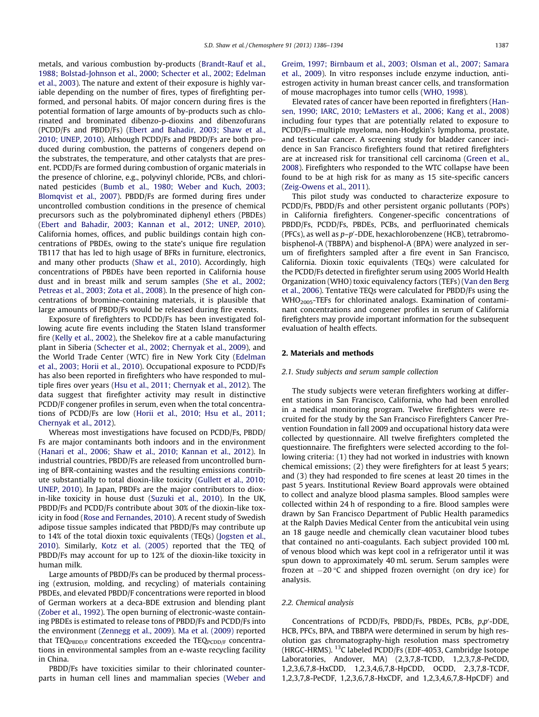metals, and various combustion by-products ([Brandt-Rauf et al.,](#page-7-0) 1988: Bolstad-Johnson et al., 2000: Schecter et al., 2002: Edelman [et al., 2003 \)](#page-7-0). The nature and extent of their exposure is highly variable depending on the number of fires, types of firefighting performed, and personal habits. Of major concern during fires is the potential formation of large amounts of by-products such as chlorinated and brominated dibenzo-p-dioxins and dibenzofurans (PCDD/Fs and PBDD/Fs) ([Ebert and Bahadir, 2003; Shaw et al.,](#page-7-0) 2010; UNEP, 2010). Although PCDD/Fs and PBDD/Fs are both produced during combustion, the patterns of congeners depend on the substrates, the temperature, and other catalysts that are present. PCDD/Fs are formed during combustion of organic materials in the presence of chlorine, e.g., polyvinyl chloride, PCBs, and chlori-nated pesticides [\(Bumb et al., 1980; Weber and Kuch, 2003;](#page-7-0) [Blomqvist et al., 2007](#page-7-0)). PBDD/Fs are formed during fires under uncontrolled combustion conditions in the presence of chemical precursors such as the polybrominated diphenyl ethers (PBDEs) (Ebert and Bahadir, 2003; Kannan et al., 2012; UNEP, 2010). California homes, offices, and public buildings contain high concentrations of PBDEs, owing to the state's unique fire regulation TB117 that has led to high usage of BFRs in furniture, electronics, and many other products (Shaw et al., 2010). Accordingly, high concentrations of PBDEs have been reported in California house dust and in breast milk and serum samples [\(She et al., 2002;](#page-7-0) [Petreas et al., 2003; Zota et al., 2008 \)](#page-7-0). In the presence of high concentrations of bromine-containing materials, it is plausible that large amounts of PBDD/Fs would be released during fire events.

Exposure of firefighters to PCDD/Fs has been investigated following acute fire events including the Staten Island transformer fire ([Kelly et al., 2002 \)](#page-7-0), the Shelekov fire at a cable manufacturing plant in Siberia [\(Schecter et al., 2002; Chernyak et al., 2009 \)](#page-7-0), and the World Trade Center (WTC) fire in New York City ([Edelman](#page-7-0) [et al., 2003; Horii et al., 2010](#page-7-0) ). Occupational exposure to PCDD/Fs has also been reported in firefighters who have responded to multiple fires over years [\(Hsu et al., 2011; Chernyak et al., 2012](#page-7-0) ). The data suggest that firefighter activity may result in distinctive PCDD/F congener profiles in serum, even when the total concentrations of PCDD/Fs are low ([Horii et al., 2010; Hsu et al., 2011;](#page-7-0) [Chernyak et al., 2012 \)](#page-7-0).

Whereas most investigations have focused on PCDD/Fs, PBDD/ Fs are major contaminants both indoors and in the environment ([Hanari et al., 2006; Shaw et al., 2010; Kannan et al., 2012](#page-7-0) ). In industrial countries, PBDD/Fs are released from uncontrolled burning of BFR-containing wastes and the resulting emissions contribute substantially to total dioxin-like toxicity ([Gullett et al., 2010;](#page-7-0) [UNEP, 2010](#page-7-0)). In Japan, PBDFs are the major contributors to diox-in-like toxicity in house dust [\(Suzuki et al., 2010](#page-7-0)). In the UK, PBDD/Fs and PCDD/Fs contribute about 30% of the dioxin-like toxicity in food (Rose and Fernandes, 2010). A recent study of Swedish adipose tissue samples indicated that PBDD/Fs may contribute up to 14% of the total dioxin toxic equivalents (TEQs) [\(Jogsten et al.,](#page-7-0) [2010](#page-7-0)). Similarly, [Kotz et al. \(2005\)](#page-7-0) reported that the TEQ of PBDD/Fs may account for up to 12% of the dioxin-like toxicity in human milk.

Large amounts of PBDD/Fs can be produced by thermal processing (extrusion, molding, and recycling) of materials containing PBDEs, and elevated PBDD/F concentrations were reported in blood of German workers at a deca-BDE extrusion and blending plant ([Zober et al., 1992](#page-8-0)). The open burning of electronic-waste containing PBDEs is estimated to release tons of PBDD/Fs and PCDD/Fs into the environment [\(Zennegg et al., 2009](#page-8-0)). [Ma et al. \(2009\)](#page-7-0) reported that TEQ $_{\text{PBDD/F}}$  concentrations exceeded the TEQ $_{\text{PCDD/F}}$  concentrations in environmental samples from an e-waste recycling facility in China.

PBDD/Fs have toxicities similar to their chlorinated counterparts in human cell lines and mammalian species [\(Weber and](#page-8-0)  [Greim, 1997; Birnbaum et al., 2003; Olsman et al., 2007; Samara](#page-8-0)  [et al., 2009 \)](#page-8-0). In vitro responses include enzyme induction , antiestrogen activity in human breast cancer cells, and transformation of mouse macrophages into tumor cells [\(WHO, 1998](#page-8-0)).

Elevated rates of cancer have been reported in firefighters ([Han](#page-7-0)[sen, 1990; IARC, 2010; LeMasters et al., 2006; Kang et al., 2008 \)](#page-7-0) including four types that are potentially related to exposure to PCDD/Fs-multiple myeloma, non-Hodgkin's lymphoma, prostate, and testicular cancer. A screening study for bladder cancer incidence in San Francisco firefighters found that retired firefighters are at increased risk for transitional cell carcinoma ([Green et al.,](#page-7-0) [2008](#page-7-0)). Firefighters who responded to the WTC collapse have been found to be at high risk for as many as 15 site-specific cancers ([Zeig-Owens et al., 2011](#page-8-0) ).

This pilot study was conducted to characterize exposure to PCDD/Fs, PBDD/Fs and other persistent organic pollutants (POPs) in California firefighters. Congener-specific concentrations of PBDD/Fs, PCDD/Fs, PBDEs, PCBs, and perfluorinated chemicals (PFCs), as well as p–p'-DDE, hexachlorobenzene (HCB), tetrabromobisphenol-A (TBBPA) and bisphenol-A (BPA) were analyzed in serum of firefighters sampled after a fire event in San Francisco, California. Dioxin toxic equivalents (TEQs) were calculated for the PCDD/Fs detected in firefighter serum using 2005 World Health Organization (WHO) toxic equivalency factors (TEFs) (Van den Berg et al., 2006). Tentative TEQs were calculated for PBDD/Fs using the WHO<sub>2005</sub>-TEFs for chlorinated analogs. Examination of contaminant concentrations and congener profiles in serum of California firefighters may provide important information for the subsequent evaluation of health effects.

#### 2. Materials and methods

#### 2.1. Study subjects and serum sample collection

The study subjects were veteran firefighters working at different stations in San Francisco, California, who had been enrolled in a medical monitoring program. Twelve firefighters were recruited for the study by the San Francisco Firefighters Cancer Prevention Foundation in fall 2009 and occupational history data were collected by questionnaire. All twelve firefighters completed the questionnaire. The firefighters were selected according to the following criteria: (1) they had not worked in industries with known chemical emissions; (2) they were firefighters for at least 5 years; and (3) they had responded to fire scenes at least 20 times in the past 5 years. Institutional Review Board approvals were obtained to collect and analyze blood plasma samples. Blood samples were collected within 24 h of responding to a fire. Blood samples were drawn by San Francisco Department of Public Health paramedics at the Ralph Davies Medical Center from the anticubital vein using an 18 gauge needle and chemically clean vacutainer blood tubes that contained no anti-coagulants. Each subject provided 100 mL of venous blood which was kept cool in a refrigerator until it was spun down to approximately 40 mL serum. Serum samples were frozen at  $-20$  °C and shipped frozen overnight (on dry ice) for analysis.

#### 2.2. Chemical analysis

Concentrations of PCDD/Fs, PBDD/Fs, PBDEs, PCBs, p,p'-DDE, HCB, PFCs, BPA, and TBBPA were determined in serum by high resolution gas chromatography-high resolution mass spectrometry (HRGC-HRMS). <sup>13</sup>C labeled PCDD/Fs (EDF-4053, Cambridge Isotope Laboratories, Andover, MA) (2,3,7,8-TCDD, 1,2,3,7,8-PeCDD, 1,2,3,6,7,8-HxCDD, 1,2,3,4,6,7,8-HpCDD, OCDD, 2,3,7,8-TCDF, 1,2,3,7,8- PeCDF, 1,2,3,6,7,8-Hx CDF, and 1,2,3,4,6,7,8 -HpCDF) and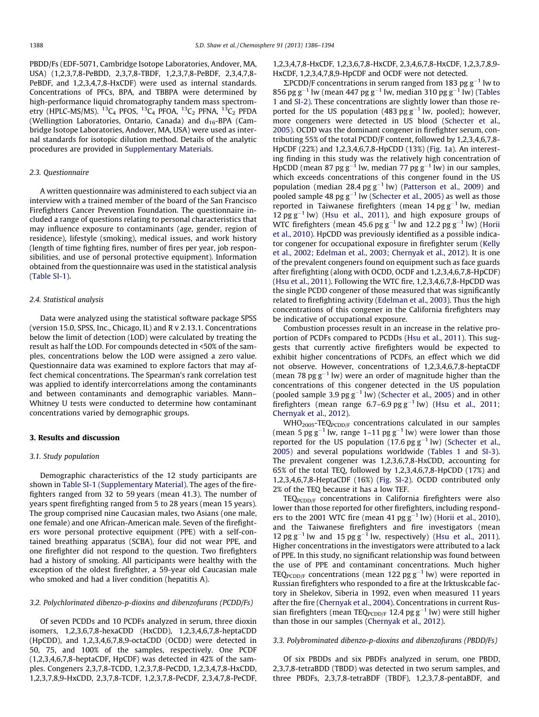PBDD/Fs (EDF-5071, Cambridge Isotope Laboratories , Andover, MA, USA) (1,2,3,7,8-PeBDD, 2,3,7,8-TBDF, 1,2,3,7,8-PeBDF, 2,3,4,7,8-PeBDF, and 1,2,3,4,7,8-HxCDF) were used as internal standards. Concentrations of PFCs, BPA, and TBBPA were determined by high-performance liquid chromatography tandem mass spectrometry (HPLC-MS/MS).  ${}^{13}C_4$  PFOS,  ${}^{13}C_4$  PFOA,  ${}^{13}C_2$  PFNA,  ${}^{13}C_2$  PFDA (Wellingtion Laboratories, Ontario, Canada) and  $d_{16}$ -BPA (Cambridge Isotope Laboratories, Andover, MA, USA) were used as internal standards for isotopic dilution method. Details of the analytic procedures are provided in Supplementary Materials.

## 2.3. Questionnaire

A written questionnaire was administered to each subject via an interview with a trained member of the board of the San Francisco Firefighters Cancer Prevention Foundation. The questionnaire included a range of questions relating to personal characteristics that may influence exposure to contaminants (age, gender, region of residence), lifestyle (smoking), medical issues, and work history (length of time fighting fires, number of fires per year, job responsibilities, and use of personal protective equipment). Information obtained from the questionnaire was used in the statistical analysis (Table SI-1 ).

#### 2.4. Statistical analysis

Data were analyzed using the statistical software package SPSS (version 15.0, SPSS, Inc., Chicago, IL) and R v 2.13.1. Concentrations below the limit of detection (LOD) were calculated by treating the result as half the LOD. For compounds detected in <50% of the samples, concentrations below the LOD were assigned a zero value. Questionnaire data was examined to explore factors that may affect chemical concentrations. The Spearman's rank correlation test was applied to identify intercorrelations among the contaminants and between contaminants and demographic variables. Mann-Whitney U tests were conducted to determine how contaminant concentrations varied by demographic groups.

## 3. Results and discussion

## 3.1. Study population

Demographic characteristics of the 12 study participants are shown in Table SI-1 (Supplementary Material). The ages of the firefighters ranged from 32 to 59 years (mean 41.3). The number of years spent firefighting ranged from 5 to 28 years (mean 15 years). The group comprised nine Caucasian males, two Asians (one male, one female) and one African-American male. Seven of the firefighters wore personal protective equipment (PPE) with a self-contained breathing apparatus (SCBA), four did not wear PPE, and one firefighter did not respond to the question. Two firefighters had a history of smoking. All participants were healthy with the exception of the oldest firefighter, a 59-year old Caucasian male who smoked and had a liver condition (hepatitis A).

## 3.2. Polychlorinated dibenzo-p-dioxins and dibenzofurans (PCDD/Fs)

Of seven PCDDs and 10 PCDFs analyzed in serum, three dioxin isomers, 1,2,3,6,7,8-hexaCDD (HxCDD), 1,2,3,4,6,7,8-heptaCDD (HpCDD), and 1,2,3,4,6,7,8,9-octaCDD (OCDD) were detected in 50, 75, and 100% of the samples, respectively. One PCDF (1,2,3,4,6,7,8-heptaCDF, HpCDF) was detected in 42% of the samples. Congeners 2,3,7,8-TCDD, 1,2,3,7,8-PeCDD, 1,2,3,4,7,8-HxCDD, 1,2,3,7,8,9-HxCDD, 2,3,7,8-TCDF, 1,2,3,7,8-PeCDF, 2,3,4,7,8-PeCDF,

1,2,3,4,7,8- HxCDF, 1,2,3,6,7,8- HxCDF, 2,3,4,6,7,8- HxCDF, 1,2,3,7,8,9-HxCDF, 1.2.3.4.7.8.9-HpCDF and OCDF were not detected.

 $\Sigma$ PCDD/F concentrations in serum ranged from 183 pg  $g^{-1}$  lw to 856 pg g<sup>-1</sup> lw (mean 447 pg g<sup>-1</sup> lw, median 310 pg g<sup>-1</sup> lw) ([Tables](#page-3-0) [1](#page-3-0) and SI-2). These concentrations are slightly lower than those reported for the US population (483  $pgg^{-1}$  lw, pooled); however, more congeners were detected in US blood ([Schecter et al.,](#page-7-0) [2005\)](#page-7-0). OCDD was the dominant congener in firefighter serum, contributing 55% of the total PCDD/F content, followed by 1,2,3,4,6,7,8- HpCDF (22%) and 1,2,3,4,6,7,8 -HpCDD (13%) [\(Fig. 1a](#page-4-0)). An interesting finding in this study was the relatively high concentration of HpCDD (mean 87 pg  $g^{-1}$  lw, median 77 pg  $g^{-1}$  lw) in our samples, which exceeds concentrations of this congener found in the US population (median  $28.4$  pg  $g^{-1}$  lw) [\(Patterson et al., 2009](#page-7-0)) and pooled sample 48 pg  $g^{-1}$  lw (Schecter et al., 2005) as well as those reported in Taiwanese firefighters (mean  $14$  pg  $g^{-1}$  lw, median 12 pg  $g^{-1}$  lw) [\(Hsu et al., 2011](#page-7-0)), and high exposure groups of WTC firefighters (mean 45.6 pg  $g^{-1}$  lw and 12.2 pg  $g^{-1}$  lw) ([Horii](#page-7-0) et al., 2010). HpCDD was previously identified as a possible indicator congener for occupational exposure in firefighter serum ([Kelly](#page-7-0) [et al., 2002; Edelman et al., 2003; Chernyak et al., 2012](#page-7-0) ). It is one of the prevalent congeners found on equipment such as face guards after firefighting (along with OCDD, OCDF and 1,2,3,4,6,7,8 -HpCDF) (Hsu et al., 2011). Following the WTC fire,  $1,2,3,4,6,7,8$ -HpCDD was the single PCDD congener of those measured that was significantly related to firefighting activity ([Edelman et al., 2003](#page-7-0) ). Thus the high concentrations of this congener in the California firefighters may be indicative of occupational exposure.

Combustion processes result in an increase in the relative pro-portion of PCDFs compared to PCDDs [\(Hsu et al., 2011](#page-7-0)). This suggests that currently active firefighters would be expected to exhibit higher concentrations of PCDFs, an effect which we did not observe. However, concentrations of 1,2,3,4,6,7,8-heptaCDF (mean 78 pg  $g^{-1}$  lw) were an order of magnitude higher than the concentrations of this congener detected in the US population (pooled sample 3.9 pg  $g^{-1}$  lw) [\(Schecter et al., 2005](#page-7-0)) and in other firefighters (mean range  $6.7-6.9$  pg  $g^{-1}$  lw) ([Hsu et al., 2011;](#page-7-0) [Chernyak et al., 2012](#page-7-0) ).

 $WHO<sub>2005</sub>-TEQ<sub>PCDD/F</sub> concentrations calculated in our samples$ (mean 5 pg  $g^{-1}$  lw, range 1–11 pg  $g^{-1}$  lw) were lower than those reported for the US population (17.6  $pgg^{-1}$  lw) ([Schecter et al.,](#page-7-0) [2005\)](#page-7-0) and several populations worldwide [\(Tables 1](#page-3-0) and SI-3). The prevalent congener was 1,2,3,6,7,8-HxCDD, accounting for 65% of the total TEQ, followed by  $1,2,3,4,6,7,8-HpCDD$  (17%) and 1,2,3,4,6,7,8 -HeptaCDF (16%) (Fig. SI-2 ). OCDD contributed only 2% of the TEQ because it has a low TEF.

 $TEQ_{PCDD/F}$  concentrations in California firefighters were also lower than those reported for other firefighters, including responders to the 2001 WTC fire (mean 41 pg  $g^{-1}$  lw) (Horii et al., 2010), and the Taiwanese firefighters and fire investigators (mean 12 pg  $g^{-1}$  lw and 15 pg  $g^{-1}$  lw, respectively) (Hsu et al., 2011). Higher concentrations in the investigators were attributed to a lack of PPE. In this study, no significant relationship was found between the use of PPE and contaminant concentrations. Much higher TEQ<sub>PCDD/F</sub> concentrations (mean 122 pg  $g^{-1}$  lw) were reported in Russian firefighters who responded to a fire at the Irktuskcable factory in Shelekov, Siberia in 1992, even when measured 11 years after the fire [\(Chernyak et al., 2004](#page-7-0) ). Concentrations in current Russian firefighters (mean TEQ<sub>PCDD/F</sub> 12.4 pg  $g^{-1}$  lw) were still higher than those in our samples ([Chernyak et al., 2012](#page-7-0)).

### 3.3. Polybrominated dibenzo-p-dioxins and dibenzofurans (PBDD/Fs)

Of six PBDDs and six PBDFs analyzed in serum, one PBDD, 2,3,7,8-tetraBDD (TBDD) was detected in two serum samples, and three PBDFs, 2,3,7,8-tetraBDF (TBDF), 1,2,3,7,8-pentaBDF, and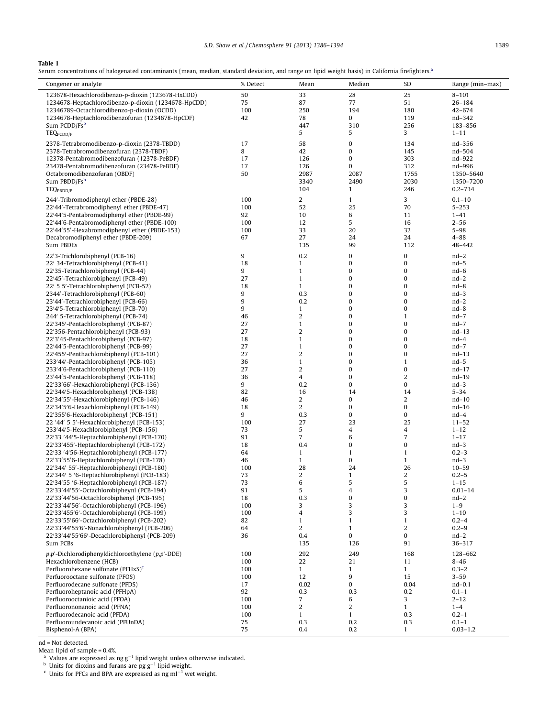| S.D. Shaw et al./Chemosphere 91 (2013) 1386-1394 | 1389 |
|--------------------------------------------------|------|
|--------------------------------------------------|------|

## <span id="page-3-0"></span>Table 1

Serum concentrations of halogenated contaminants (mean, median, standard deviation, and range on lipid weight basis) in California firefighters.<sup>a</sup>

| Congener or analyte                                       | % Detect | Mean           | Median           | SD             | Range (min-max) |
|-----------------------------------------------------------|----------|----------------|------------------|----------------|-----------------|
|                                                           |          |                |                  |                |                 |
| 123678-Hexachlorodibenzo-p-dioxin (123678-HxCDD)          | 50       | 33             | 28               | 25             | $8 - 101$       |
| 1234678-Heptachlorodibenzo-p-dioxin (1234678-HpCDD)       | 75       | 87             | 77               | 51             | $26 - 184$      |
| 12346789-Octachlorodibenzo-p-dioxin (OCDD)                | 100      | 250            | 194              | 180            | $42 - 674$      |
| 1234678-Heptachlorodibenzofuran (1234678-HpCDF)           | 42       | 78             | 0                | 119            | nd-342          |
| Sum PCDD/Fsb                                              |          | 447            | 310              | 256            | 183-856         |
| <b>TEQPCDD/F</b>                                          |          | 5              | 5                | 3              | $1 - 11$        |
| 2378-Tetrabromodibenzo-p-dioxin (2378-TBDD)               | 17       | 58             | $\bf{0}$         | 134            | nd-356          |
| 2378-Tetrabromodibenzofuran (2378-TBDF)                   | 8        | 42             | 0                | 145            | nd-504          |
| 12378-Pentabromodibenzofuran (12378-PeBDF)                | 17       | 126            | 0                | 303            | nd-922          |
| 23478-Pentabromodibenzofuran (23478-PeBDF)                | 17       | 126            | 0                | 312            | nd-996          |
| Octabromodibenzofuran (OBDF)                              | 50       | 2987           | 2087             | 1755           | 1350-5640       |
|                                                           |          |                |                  | 2030           |                 |
| Sum PBDD/Fs <sup>b</sup>                                  |          | 3340           | 2490             |                | 1350-7200       |
| TEQ <sub>PBDD/F</sub>                                     |          | 104            | $\mathbf{1}$     | 246            | $0.2 - 734$     |
| 244'-Tribromodiphenyl ether (PBDE-28)                     | 100      | $\overline{2}$ | $\mathbf{1}$     | 3              | $0.1 - 10$      |
| 22'44'-Tetrabromodiphenyl ether (PBDE-47)                 | 100      | 52             | 25               | 70             | $5 - 253$       |
| 22'44'5-Pentabromodiphenyl ether (PBDE-99)                | 92       | 10             | 6                | 11             | $1 - 41$        |
| 22'44'6-Pentabromodiphenyl ether (PBDE-100)               | 100      | 12             | 5                | 16             | $2 - 56$        |
| 22'44'55'-Hexabromodiphenyl ether (PBDE-153)              | 100      | 33             | 20               | 32             | $5 - 98$        |
| Decabromodiphenyl ether (PBDE-209)                        | 67       | 27             | 24               | 24             | $4 - 88$        |
| Sum PBDEs                                                 |          | 135            | 99               | 112            | 48-442          |
|                                                           |          |                |                  |                |                 |
| 22'3-Trichlorobiphenyl (PCB-16)                           | 9        | 0.2            | 0                | $\pmb{0}$      | $nd-2$          |
| 22' 34-Tetrachlorobiphenyl (PCB-41)                       | 18       | $\mathbf{1}$   | 0                | $\pmb{0}$      | $nd-5$          |
| 22'35-Tetrachlorobiphenyl (PCB-44)                        | 9        | $\mathbf{1}$   | 0                | 0              | $nd-6$          |
| 22'45'-Tetrachlorobiphenyl (PCB-49)                       | 27       | $\mathbf{1}$   | 0                | $\pmb{0}$      | $nd-2$          |
| 22' 5 5'-Tetrachlorobiphenyl (PCB-52)                     | 18       | $\mathbf{1}$   | 0                | 0              | $nd-8$          |
| 2344'-Tetrachlorobiphenyl (PCB-60)                        | 9        | 0.3            | 0                | 0              | $nd-3$          |
| 23'44'-Tetrachlorobiphenyl (PCB-66)                       | 9        | 0.2            | 0                | 0              | $nd-2$          |
| 23'4'5-Tetrachlorobiphenyl (PCB-70)                       | 9        | $\mathbf{1}$   | 0                | $\pmb{0}$      | $nd-8$          |
| 244' 5-Tetrachlorobiphenyl (PCB-74)                       | 46       | $\sqrt{2}$     | 0                | $\mathbf{1}$   | $nd-7$          |
| 22'345'-Pentachlorobiphenyl (PCB-87)                      | 27       | $\mathbf{1}$   | 0                | 0              | $nd-7$          |
| 22'356-Pentachlorobiphenyl (PCB-93)                       | 27       | $\overline{2}$ | $\boldsymbol{0}$ | $\pmb{0}$      | $nd-13$         |
| 22'3'45-Pentachlorobiphenyl (PCB-97)                      | 18       | $\mathbf{1}$   | 0                | 0              | $nd-4$          |
| 22'44'5-Pentachlorobiphenyl (PCB-99)                      | 27       | $\mathbf{1}$   | 0                | $\pmb{0}$      | $nd-7$          |
| 22'455'-Penthachlorobiphenyl (PCB-101)                    | 27       | $\overline{2}$ | 0                | $\pmb{0}$      | $nd-13$         |
| 233'44'-Pentachlorobiphenyl (PCB-105)                     | 36       | $\mathbf{1}$   | 0                | $\mathbf{1}$   | $nd-5$          |
| 233'4'6-Pentachlorobiphenyl (PCB-110)                     | 27       | $\sqrt{2}$     | 0                | $\pmb{0}$      | $nd-17$         |
| 23'44'5-Pentachlorobiphenyl (PCB-118)                     | 36       | 4              | 0                | $\overline{c}$ | nd-19           |
| 22'33'66'-Hexachlorobiphenyl (PCB-136)                    | 9        | 0.2            | $\boldsymbol{0}$ | $\pmb{0}$      | $nd-3$          |
| 22'344'5-Hexachlorobiphenyl (PCB-138)                     | 82       | 16             | 14               | 14             | $5 - 34$        |
| 22'34'55'-Hexachlorobiphenyl (PCB-146)                    | 46       | $\overline{a}$ | 0                | $\overline{c}$ | $nd-10$         |
| 22'34'5'6-Hexachlorobiphenyl (PCB-149)                    | 18       | $\overline{c}$ | 0                | $\pmb{0}$      | $nd-16$         |
| 22'355'6-Hexachlorobiphenyl (PCB-151)                     | 9        | 0.3            | 0                | $\pmb{0}$      | $nd-4$          |
| 22 '44' 5 5'-Hexachlorobiphenyl (PCB-153)                 | 100      | 27             | 23               | 25             | $11 - 52$       |
| 233'44'5-Hexachlorobiphenyl (PCB-156)                     | 73       | 5              | 4                | 4              | $1 - 12$        |
| 22'33 '44'5-Heptachlorobiphenyl (PCB-170)                 | 91       | $\overline{7}$ | 6                | $\overline{7}$ | $1 - 17$        |
| 22'33'455'-Heptachlorobiphenyl (PCB-172)                  | 18       | 0.4            | 0                | $\pmb{0}$      | $nd-3$          |
| 22'33 '4'56-Heptachlorobiphenyl (PCB-177)                 | 64       | $\mathbf{1}$   | $\mathbf{1}$     | $\mathbf{1}$   | $0.2 - 3$       |
| 22'33'55'6-Heptachlorobiphenyl (PCB-178)                  | 46       | $\mathbf{1}$   | 0                | $\mathbf{1}$   | $nd-3$          |
| 22'344' 55'-Heptachlorobiphenyl (PCB-180)                 | 100      | 28             | 24               | 26             | $10 - 59$       |
|                                                           | 73       | $\overline{2}$ | $\mathbf{1}$     | $\overline{c}$ |                 |
| 22'344' 5 '6-Heptachlorobiphenyl (PCB-183)                |          |                |                  |                | $0.2 - 5$       |
| 22'34'55 '6-Heptachlorobiphenyl (PCB-187)                 | 73       | 6<br>5         | 5<br>4           | 5              | 1-15            |
| 22'33'44'55'-Octachlorobipheynl (PCB-194)                 | 91       |                |                  | 3              | $0.01 - 14$     |
| 22'33'44'56-Octachlorobiphenyl (PCB-195)                  | 18       | 0.3            | 0                | $\pmb{0}$      | $nd-2$          |
| 22'33'44'56'-Octachlorobiphenyl (PCB-196)                 | 100      | 3              | 3                | 3              | $1 - 9$         |
| 22'33'455'6'-Octachlorobiphenyl (PCB-199)                 | 100      | $\overline{4}$ | 3                | 3              | $1 - 10$        |
| 22'33'55'66'-Octachlorobiphenyl (PCB-202)                 | 82       | $\mathbf{1}$   | $\mathbf{1}$     | $\mathbf{1}$   | $0.2 - 4$       |
| 22'33'44'55'6'-Nonachlorobiphenyl (PCB-206)               | 64       | $\overline{2}$ | $\mathbf{1}$     | $\overline{c}$ | $0.2 - 9$       |
| 22'33'44'55'66'-Decachlorobiphenyl (PCB-209)              | 36       | 0.4            | 0                | $\pmb{0}$      | $nd-2$          |
| Sum PCBs                                                  |          | 135            | 126              | 91             | 36-317          |
| $p, p'$ -Dichlorodiphenyldichloroethylene ( $p, p'$ -DDE) | 100      | 292            | 249              | 168            | 128-662         |
| Hexachlorobenzene (HCB)                                   | 100      | 22             | 21               | 11             | $8 - 46$        |
| Perfluorohexane sulfonate (PFHxS) <sup>c</sup>            | 100      | $\mathbf{1}$   | $\mathbf{1}$     | $\mathbf{1}$   | $0.3 - 2$       |
| Perfuorooctane sulfonate (PFOS)                           | 100      | 12             | 9                | 15             | $3 - 59$        |
| Perfluorodecane sulfonate (PFDS)                          | 17       | 0.02           | 0                | 0.04           | $nd-0.1$        |
| Perfluoroheptanoic acid (PFHpA)                           | 92       | 0.3            | 0.3              | 0.2            | $0.1 - 1$       |
| Perfluorooctanioic acid (PFOA)                            | 100      | 7              | 6                | 3              | $2 - 12$        |
| Perfluorononanoic acid (PFNA)                             | 100      | $\overline{2}$ | $\overline{2}$   | $\mathbf{1}$   | $1 - 4$         |
| Perfluorodecanoic acid (PFDA)                             | 100      | $\mathbf{1}$   | $\mathbf{1}$     | 0.3            | $0.2 - 1$       |
| Perfluoroundecanoic acid (PFUnDA)                         | 75       | 0.3            | 0.2              | 0.3            | $0.1 - 1$       |
| Bisphenol-A (BPA)                                         | 75       | 0.4            | 0.2              | $\mathbf{1}$   | $0.03 - 1.2$    |
|                                                           |          |                |                  |                |                 |

nd = Not detected.

Mean lipid of sample = 0.4%.<br><sup>a</sup> Values are expressed as ng g<sup>-1</sup> lipid weight unless otherwise indicated.

<sup>b</sup> Units for dioxins and furans are pg  $g^{-1}$  lipid weight.

 $\epsilon$  Units for PFCs and BPA are expressed as ng ml<sup>-1</sup> wet weight.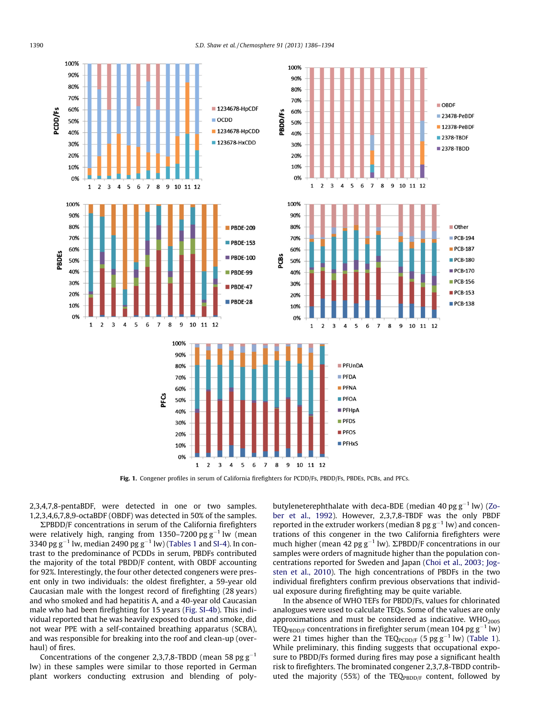<span id="page-4-0"></span>

Fig. 1. Congener profiles in serum of California firefighters for PCDD/Fs, PBDD/Fs, PBDEs, PCBs, and PFCs.

2,3,4,7,8-pentaBDF, were detected in one or two samples. 1,2,3,4,6,7,8,9-octaBDF (OBDF) was detected in 50% of the samples.

 $\Sigma$ PBDD/F concentrations in serum of the California firefighters were relatively high, ranging from 1350–7200 pg g $^{-1}$  lw (mean 3340 pg g $^{-1}$  lw, median 2490 pg g $^{-1}$  lw) [\(Tables 1](#page-3-0) and SI-4). In contrast to the predominance of PCDDs in serum, PBDFs contributed the majority of the total PBDD/F content, with OBDF accounting for 92%. Interestingly, the four other detected congeners were present only in two individuals: the oldest firefighter, a 59-year old Caucasian male with the longest record of firefighting (28 years) and who smoked and had hepatitis A, and a 40-year old Caucasian male who had been firefighting for 15 years (Fig. SI-4b ). This individual reported that he was heavily exposed to dust and smoke, did not wear PPE with a self-contained breathing apparatus (SCBA), and was responsible for breaking into the roof and clean-up (overhaul) of fires.

Concentrations of the congener 2,3,7,8-TBDD (mean 58 pg  $g^{-1}$ lw) in these samples were similar to those reported in German plant workers conducting extrusion and blending of polybutyleneterephthalate with deca-BDE (median 40 pg  $g^{-1}$  lw) [\(Zo](#page-8-0)ber et al., 1992). However, 2,3,7,8-TBDF was the only PBDF reported in the extruder workers (median 8 pg  $g^{-1}$  lw) and concentrations of this congener in the two California firefighters were much higher (mean 42 pg  $g^{-1}$  lw).  $\Sigma$ PBDD/F concentrations in our samples were orders of magnitude higher than the population concentrations reported for Sweden and Japan ([Choi et al., 2003; Jog](#page-7-0)sten et al., 2010). The high concentrations of PBDFs in the two individual firefighters confirm previous observations that individual exposure during firefighting may be quite variable.

In the absence of WHO TEFs for PBDD/Fs, values for chlorinated analogues were used to calculate TEQs. Some of the values are only approximations and must be considered as indicative.  $WHO<sub>2005</sub>$ TEQ $_{\text{PBDD/F}}$  concentrations in firefighter serum (mean 104 pg g<sup>-1</sup> lw) were 21 times higher than the TEQ $_{\text{PCDD/F}}$  (5 pg g<sup>-1</sup> lw) [\(Table 1\)](#page-3-0). While preliminary, this finding suggests that occupational exposure to PBDD/Fs formed during fires may pose a significant health risk to firefighters. The brominated congener 2,3,7,8-TBDD contributed the majority (55%) of the TEQ $_{\text{PBDD/F}}$  content, followed by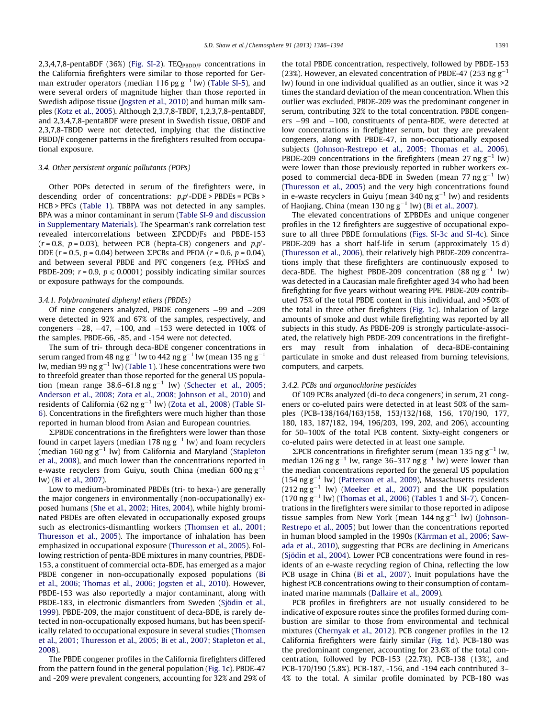2,3,4,7,8-pentaBDF (36%) (Fig. SI-2). TEQ $_{\text{PBDDF}}$  concentrations in the California firefighters were similar to those reported for German extruder operators (median 116 pg  $g^{-1}$  lw) (Table SI-5), and were several orders of magnitude higher than those reported in Swedish adipose tissue ([Jogsten et al., 2010](#page-7-0) ) and human milk sam-ples [\(Kotz et al., 2005](#page-7-0)). Although 2,3,7,8-TBDF, 1,2,3,7,8-pentaBDF, and 2,3,4,7,8- pentaBDF were present in Swedish tissue, OBDF and 2,3,7,8-TBDD were not detected, implying that the distinctive PBDD/F congener patterns in the firefighters resulted from occupational exposure.

#### 3.4. Other persistent organic pollutants (POPs)

Other POPs detected in serum of the firefighters were, in descending order of concentrations:  $p, p'$ -DDE > PBDEs = PCBs > HCB > PFCs ([Table 1\)](#page-3-0). TBBPA was not detected in any samples. BPA was a minor contaminant in serum (Table SI-9 and discussion in Supplementary Materials). The Spearman's rank correlation test revealed intercorrelations between  $\Sigma$ PCDD/Fs and PBDE-153  $(r = 0.8, p = 0.03)$ , between PCB (hepta-CB) congeners and  $p, p'$ -DDE ( $r = 0.5$ ,  $p = 0.04$ ) between  $\Sigma$ PCBs and PFOA ( $r = 0.6$ ,  $p = 0.04$ ), and between several PBDE and PFC congeners (e.g. PFHxS and PBDE-209;  $r = 0.9$ ,  $p \le 0.0001$ ) possibly indicating similar sources or exposure pathways for the compounds.

#### 3.4.1. Polybrominated diphenyl ethers (PBDEs)

Of nine congeners analyzed, PBDE congeners –99 and –209 were detected in 92% and 67% of the samples, respectively, and congeners -28, -47, -100, and -153 were detected in 100% of the samples. PBDE-66, -85, and -154 were not detected.

The sum of tri- through deca-BDE congener concentrations in serum ranged from 48 ng g $^{-1}$  lw to 442 ng g $^{-1}$  lw (mean 135 ng g $^{-1}$ lw, median 99 ng g $^{-1}$  lw) ([Table 1\)](#page-3-0). These concentrations were two to threefold greater than those reported for the general US population (mean range  $38.6-61.8$  ng g<sup>-1</sup> lw) ([Schecter et al., 2005;](#page-7-0) Anderson et al., 2008; Zota et al., 2008; Johnson et al., 2010) and residents of California (62 ng g $^{-1}$  lw) [\(Zota et al., 2008](#page-8-0)) (Table SI- $6$ ). Concentrations in the firefighters were much higher than those reported in human blood from Asian and European countries.

 $\Sigma$ PBDE concentrations in the firefighters were lower than those found in carpet layers (median 178 ng  $g^{-1}$  lw) and foam recyclers (median 160 ng  $g^{-1}$  lw) from California and Maryland ([Stapleton](#page-7-0) [et al., 2008 \)](#page-7-0), and much lower than the concentrations reported in e-waste recyclers from Guiyu, south China (median 600 ng $\rm g^{-1}$ lw) ([Bi et al., 2007 \)](#page-6-0).

Low to medium-brominated PBDEs (tri- to hexa-) are generally the major congeners in environmentally (non-occupationally) exposed humans [\(She et al., 2002; Hites, 2004 \)](#page-7-0), while highly brominated PBDEs are often elevated in occupationally exposed groups such as electronics-dismantling workers [\(Thomsen et al., 2001;](#page-8-0) [Thuresson et al., 2005](#page-8-0)). The importance of inhalation has been emphasized in occupational exposure (Thuresson et al., 2005). Following restriction of penta-BDE mixtures in many countries, PBDE-153, a constituent of commercial octa-BDE, has emerged as a major PBDE congener in non-occupationally exposed populations [\(Bi](#page-7-0) [et al., 2006; Thomas et al., 2006; Jogsten et al., 2010](#page-7-0)). However, PBDE-153 was also reportedly a major contaminant, along with PBDE-183, in electronic dismantlers from Sweden ([Sjödin et al.,](#page-7-0) [1999\)](#page-7-0). PBDE-209, the major constituent of deca-BDE, is rarely detected in non-occupationally exposed humans, but has been specif-ically related to occupational exposure in several studies [\(Thomsen](#page-8-0) et al., 2001; Thuresson et al., 2005; Bi et al., 2007; Stapleton et al., [2008](#page-8-0)).

The PBDE congener profiles in the California firefighters differed from the pattern found in the general population [\(Fig. 1c](#page-4-0)). PBDE-47 and -209 were prevalent congeners, accounting for 32% and 29% of the total PBDE concentration, respectively, followed by PBDE-153 (23%). However, an elevated concentration of PBDE-47 (253 ng  $g^{-1}$ lw) found in one individual qualified as an outlier, since it was  $>2$ times the standard deviation of the mean concentration. When this outlier was excluded, PBDE-209 was the predominant congener in serum, contributing 32% to the total concentration. PBDE congeners –99 and –100, constituents of penta-BDE, were detected at low concentrations in firefighter serum, but they are prevalent congeners, along with PBDE-47, in non-occupationally exposed subjects (Johnson-Restrepo et al., 2005; Thomas et al., 2006). PBDE-209 concentrations in the firefighters (mean 27 ng  $g^{-1}$  lw) were lower than those previously reported in rubber workers exposed to commercial deca-BDE in Sweden (mean 77 ng  $g^{-1}$  lw) (Thuresson et al., 2005) and the very high concentrations found in e-waste recyclers in Guiyu (mean 340 ng  $g^{-1}$  lw) and residents of Haojiang, China (mean 130 ng  $g^{-1}$  lw) [\(Bi et al., 2007](#page-6-0)).

The elevated concentrations of  $\Sigma$ PBDEs and unique congener profiles in the 12 firefighters are suggestive of occupational exposure to all three PBDE formulations (Figs. SI-3c and SI-4c). Since PBDE-209 has a short half-life in serum (approximately 15 d) (Thuresson et al., 2006), their relatively high PBDE-209 concentrations imply that these firefighters are continuously exposed to deca-BDE. The highest PBDE-209 concentration (88 ng  $g^{-1}$  lw) was detected in a Caucasian male firefighter aged 34 who had been firefighting for five years without wearing PPE. PBDE-209 contributed 75% of the total PBDE content in this individual, and >50% of the total in three other firefighters [\(Fig. 1c](#page-4-0)). Inhalation of large amounts of smoke and dust while firefighting was reported by all subjects in this study. As PBDE-209 is strongly particulate-associated, the relatively high PBDE-209 concentrations in the firefighters may result from inhalation of deca-BDE-containing particulate in smoke and dust released from burning televisions, computers, and carpets.

## 3.4.2. PCBs and organochlorine pesticides

Of 109 PCBs analyzed (di-to deca congeners) in serum, 21 congeners or co-eluted pairs were detected in at least 50% of the samples (PCB-138/164/163/158, 153/132/168, 156, 170/190, 177, 180, 183, 187/182, 194, 196/203, 199, 202, and 206), accounting for 50–100% of the total PCB content. Sixty-eight congeners or co-eluted pairs were detected in at least one sample.

 $\Sigma$ PCB concentrations in firefighter serum (mean 135 ng g<sup>-1</sup> lw, median 126 ng g<sup>-1</sup> lw, range 36-317 ng g<sup>-1</sup> lw) were lower than the median concentrations reported for the general US population  $(154 \text{ ng g}^{-1} \text{ lw})$  (Patterson et al., 2009), Massachusetts residents  $(212 \text{ ng g}^{-1}$  lw) (Meeker et al., 2007) and the UK population  $(170 \text{ ng } \text{g}^{-1}$  lw) (Thomas et al., 2006) [\(Tables 1](#page-3-0) and SI-7). Concentrations in the firefighters were similar to those reported in adipose tissue samples from New York (mean  $144$  ng  $g^{-1}$  lw) [\(Johnson-](#page-7-0)[Restrepo et al., 2005](#page-7-0)[\)](#page-7-0) but lower than the concentrations reported in human blood sampled in the 1990s [\(Kärrman et al., 2006; Saw](#page-7-0)[ada et al., 2010](#page-7-0)), suggesting that PCBs are declining in Americans (Sjödin et al., 2004). Lower PCB concentrations were found in residents of an e-waste recycling region of China, reflecting the low PCB usage in China (Bi et al., 2007). Inuit populations have the highest PCB concentrations owing to their consumption of contaminated marine mammals ([Dallaire et al., 2009 \)](#page-7-0).

PCB profiles in firefighters are not usually considered to be indicative of exposure routes since the profiles formed during combustion are similar to those from environmental and technical mixtures [\(Chernyak et al., 2012 \)](#page-7-0). PCB congener profiles in the 12 California firefighters were fairly similar ([Fig. 1](#page-4-0)d). PCB-180 was the predominant congener, accounting for 23.6% of the total concentration, followed by PCB-153 (22.7%), PCB-138 (13%), and PCB-170/190 (5.8%). PCB-187, -156, and -194 each contributed 3-4% to the total. A similar profile dominated by PCB-180 was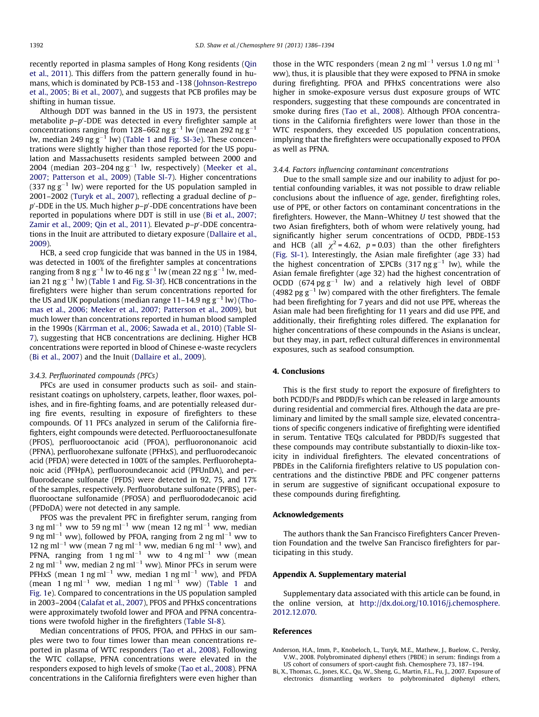<span id="page-6-0"></span>recently reported in plasma samples of Hong Kong residents [\(Qin](#page-7-0) [et al., 2011 \)](#page-7-0). This differs from the pattern generally found in humans, which is dominated by PCB-153 and -138 (Johnson-Restrepo [et al., 2005; Bi et al., 2007 \)](#page-7-0), and suggests that PCB profiles may be shifting in human tissue.

Although DDT was banned in the US in 1973, the persistent metabolite  $p$ – $p'$ -DDE was detected in every firefighter sample at concentrations ranging from 128–662 ng g $^{-1}$  lw (mean 292 ng g $^{-1}$ lw, median 249 ng g $^{-1}$  lw) [\(Table 1](#page-3-0) and Fig. SI-3e). These concentrations were slightly higher than those reported for the US population and Massachusetts residents sampled between 2000 and 2004 (median 203–204 ng g $^{-1}$  lw, respectively) [\(Meeker et al.,](#page-7-0) 2007; Patterson et al., 2009) (Table SI-7). Higher concentrations (337 ng  $g^{-1}$  lw) were reported for the US population sampled in 2001–2002 (Turyk et al., 2007), reflecting a gradual decline of  $p$  $p'$ -DDE in the US. Much higher  $p-p'$ -DDE concentrations have been reported in populations where DDT is still in use (Bi et al., 2007; Zamir et al., 2009; Qin et al., 2011). Elevated p–p'-DDE concentrations in the Inuit are attributed to dietary exposure ([Dallaire et al.,](#page-7-0) [2009\)](#page-7-0).

HCB, a seed crop fungicide that was banned in the US in 1984, was detected in 100% of the firefighter samples at concentrations ranging from 8 ng g $^{-1}$  lw to 46 ng g $^{-1}$  lw (mean 22 ng g $^{-1}$  lw, median 21 ng g $^{-1}$  lw) [\(Table 1](#page-3-0) and Fig. SI-3f). HCB concentrations in the firefighters were higher than serum concentrations reported for the US and UK populations (median range 11-14.9 ng g $^{-1}$  lw) [\(Tho](#page-8-0)[mas et al., 2006; Meeker et al., 2007; Patterson et al., 2009](#page-8-0) [\)](#page-8-0), but much lower than concentrations reported in human blood sampled in the 1990s ([Kärrman et al., 2006; Sawada et al., 2010](#page-7-0) ) (Table SI-7), suggesting that HCB concentrations are declining. Higher HCB concentrations were reported in blood of Chinese e-waste recyclers (Bi et al., 2007) and the Inuit (Dallaire et al., 2009).

#### 3.4.3. Perfluorinated compounds (PFCs)

PFCs are used in consumer products such as soil- and stainresistant coatings on upholstery, carpets, leather, floor waxes, polishes, and in fire-fighting foams, and are potentially released during fire events, resulting in exposure of firefighters to these compounds . Of 11 PFCs analyzed in serum of the California firefighters, eight compounds were detected. Perfluorooctanesulfonate (PFOS), perfluorooctanoic acid (PFOA), perfluorononanoic acid (PFNA), perfluorohexane sulfonate (PFHxS), and perfluorodecanoic acid (PFDA) were detected in 100% of the samples. Perfluoroheptanoic acid (PFHpA), perfluoroundecanoic acid (PFUnDA), and perfluorodecane sulfonate (PFDS) were detected in 92, 75, and 17% of the samples, respectively. Perfluorobutane sulfonate (PFBS), perfluorooctane sulfonamide (PFOSA) and perfluorododecanoic acid (PFDoDA) were not detected in any sample.

PFOS was the prevalent PFC in firefighter serum, ranging from 3 ng ml<sup>-1</sup> ww to 59 ng ml<sup>-1</sup> ww (mean 12 ng ml<sup>-1</sup> ww, median 9 ng ml $^{-1}$  ww), followed by PFOA, ranging from 2 ng ml $^{-1}$  ww to 12 ng ml<sup>-1</sup> ww (mean 7 ng ml<sup>-1</sup> ww, median 6 ng ml<sup>-1</sup> ww), and PFNA, ranging from 1 ng ml<sup>-1</sup> ww to 4 ng ml<sup>-1</sup> ww (mean 2 ng ml $^{-1}$  ww, median 2 ng ml $^{-1}$  ww). Minor PFCs in serum were PFHxS (mean 1 ng ml<sup>-1</sup> ww, median 1 ng ml<sup>-1</sup> ww), and PFDA (mean 1 ng ml $^{-1}$  ww, median 1 ng ml $^{-1}$  ww) ([Table 1](#page-3-0) and [Fig. 1e](#page-4-0)). Compared to concentrations in the US population sampled in 2003–2004 ([Calafat et al., 2007](#page-7-0) ), PFOS and PFHxS concentrations were approximately twofold lower and PFOA and PFNA concentrations were twofold higher in the firefighters (Table SI-8 ).

Median concentrations of PFOS, PFOA, and PFHxS in our samples were two to four times lower than mean concentrations reported in plasma of WTC responders (Tao et al., 2008). Following the WTC collapse, PFNA concentrations were elevated in the responders exposed to high levels of smoke [\(Tao et al., 2008 \)](#page-7-0). PFNA concentrations in the California firefighters were even higher than

those in the WTC responders (mean 2 ng ml<sup>-1</sup> versus 1.0 ng ml<sup>-1</sup> ww), thus, it is plausible that they were exposed to PFNA in smoke during firefighting. PFOA and PFHxS concentrations were also higher in smoke-exposure versus dust exposure groups of WTC responders, suggesting that these compounds are concentrated in smoke during fires [\(Tao et al., 2008](#page-7-0) ). Although PFOA concentrations in the California firefighters were lower than those in the WTC responders, they exceeded US population concentrations, implying that the firefighters were occupationally exposed to PFOA as well as PFNA.

#### 3.4.4. Factors influencing contaminant concentrations

Due to the small sample size and our inability to adjust for potential confounding variables, it was not possible to draw reliable conclusions about the influence of age, gender, firefighting roles, use of PPE, or other factors on contaminant concentrations in the firefighters. However, the Mann–Whitney  $U$  test showed that the two Asian firefighters, both of whom were relatively young, had significantly higher serum concentrations of OCDD, PBDE-153 and HCB (all  $\chi^2$  = 4.62, p = 0.03) than the other firefighters (Fig. SI-1). Interestingly, the Asian male firefighter (age 33) had the highest concentration of  $\Sigma$ PCBs (317 ng g<sup>-1</sup> lw), while the Asian female firefighter (age 32) had the highest concentration of OCDD  $(674 \text{ pg g}^{-1}$  lw) and a relatively high level of OBDF (4982 pg  $g^{-1}$  lw) compared with the other firefighters. The female had been firefighting for 7 years and did not use PPE, whereas the Asian male had been firefighting for 11 years and did use PPE, and additionally, their firefighting roles differed. The explanation for higher concentrations of these compounds in the Asians is unclear, but they may, in part, reflect cultural differences in environmental exposures, such as seafood consumption.

#### 4. Conclusions

This is the first study to report the exposure of firefighters to both PCDD/Fs and PBDD/Fs which can be released in large amounts during residential and commercial fires. Although the data are preliminary and limited by the small sample size, elevated concentrations of specific congeners indicative of firefighting were identified in serum. Tentative TEQs calculated for PBDD/Fs suggested that these compounds may contribute substantially to dioxin-like toxicity in individual firefighters. The elevated concentrations of PBDEs in the California firefighters relative to US population concentrations and the distinctive PBDE and PFC congener patterns in serum are suggestive of significant occupational exposure to these compounds during firefighting.

#### **Acknowledgements**

The authors thank the San Francisco Firefighters Cancer Prevention Foundation and the twelve San Francisco firefighters for participating in this study.

#### Appendix A. Supplementary material

Supplementary data associated with this article can be found, in the online version, at http://dx.doi.org/10.1016/j.chemosphere. [2012.12.070](http://dx.doi.org/10.1016/j.chemosphere.2012.12.070).

#### References

- Anderson, H.A., Imm, P., Knobeloch, L., Turyk, M.E., Mathew, J., Buelow, C., Persky, V.W., 2008. Polybrominated diphenyl ethers (PBDE) in serum: findings from a US cohort of consumers of sport-caught fish. Chemosphere 73, 187–194.
- Bi, X., Thomas, G., Jones, K.C., Qu, W., Sheng, G., Martin, F.L., Fu, J., 2007. Exposure of electronics dismantling workers to polybrominated diphenyl ethers,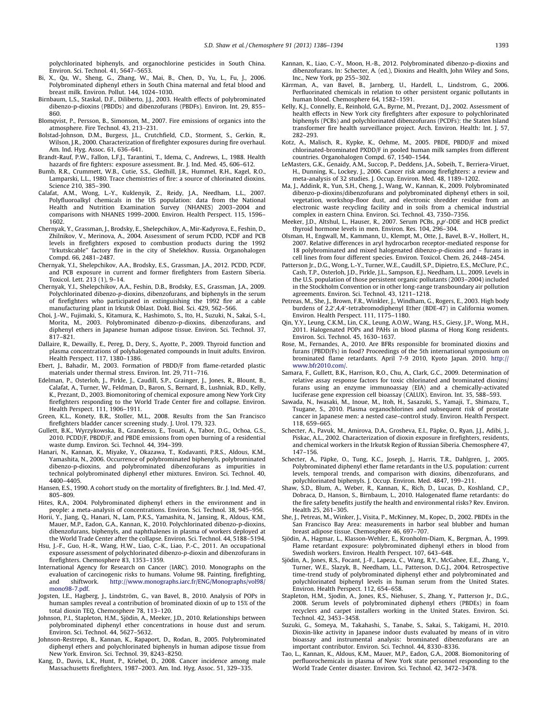<span id="page-7-0"></span>polychlorinated biphenyls, and organochlorine pesticides in South China. Environ. Sci. Technol. 41, 5647–5653.

- Bi, X., Qu, W., Sheng, G., Zhang, W., Mai, B., Chen, D., Yu, L., Fu, J., 2006. Polybrominated diphenyl ethers in South China maternal and fetal blood and breast milk. Environ. Pollut. 144, 1024–1030.
- Birnbaum, L.S., Staskal, D.F., Diliberto, J.J., 2003. Health effects of polybrominated dibenzo-p-dioxins (PBDDs) and dibenzofurans (PBDFs). Environ. Int. 29, 855– 860.
- Blomqvist, P., Persson, B., Simonson, M., 2007. Fire emissions of organics into the atmosphere. Fire Technol. 43, 213–231.
- Bolstad-Johnson, D.M., Burgess, J.L., Crutchfield, C.D., Storment, S., Gerkin, R., Wilson, J.R., 2000. Characterization of firefighter exposures during fire overhaul. Am. Ind. Hyg. Assoc. 61, 636–641.
- Brandt-Rauf, P.W., Fallon, L.F.J., Tarantini, T., Idema, C., Andrews, L., 1988. Health hazards of fire fighters: exposure assessment. Br. J. Ind. Med. 45, 606–612.
- Bumb, R.R., Crummett, W.B., Cutie, S.S., Gledhill, J.R., Hummel, R.H., Kagel, R.O., Lamparski, L.L., 1980. Trace chemistries of fire: a source of chlorinated dioxins. Science 210, 385–390.
- Calafat, A.M., Wong, L.-Y., Kuklenyik, Z., Reidy, J.A., Needham, L.L., 2007. Polyfluoroalkyl chemicals in the US population: data from the National Health and Nutrition Examination Survey (NHANES) 2003–2004 and comparisons with NHANES 1999–2000. Environ. Health Perspect. 115, 1596– 1602.
- Chernyak, Y., Grassman, J., Brodsky, E., Shelepchikov, A., Mir-Kadyrova, E., Feshin, D., Zhilnikov, V., Merinova, A., 2004. Assessment of serum PCDD, PCDF and PCB levels in firefighters exposed to combustion products during the 1992 ''Irkutskcable'' factory fire in the city of Shelekhov. Russia. Organohalogen Compd. 66, 2481–2487.
- Chernyak, Y.I., Shelepchikov, A.A., Brodsky, E.S., Grassman, J.A., 2012. PCDD, PCDF, and PCB exposure in current and former firefighters from Eastern Siberia. Toxicol. Lett. 213 (1), 9–14.
- Chernyak, Y.I., Shelepchikov, A.A., Feshin, D.B., Brodsky, E.S., Grassman, J.A., 2009. Polychlorinated dibenzo-p-dioxins, dibenzofurans, and biphenyls in the serum of firefighters who participated in extinguishing the 1992 fire at a cable manufacturing plant in Irkutsk Oblast. Dokl. Biol. Sci. 429, 562–566.
- Choi, J.-W., Fujimaki, S., Kitamura, K., Hashimoto, S., Ito, H., Suzuki, N., Sakai, S.-I., Morita, M., 2003. Polybrominated dibenzo-p-dioxins, dibenzofurans, and diphenyl ethers in Japanese human adipose tissue. Environ. Sci. Technol. 37, 817–821.
- Dallaire, R., Dewailly, E., Pereg, D., Dery, S., Ayotte, P., 2009. Thyroid function and plasma concentrations of polyhalogenated compounds in Inuit adults. Environ. Health Perspect. 117, 1380–1386.
- Ebert, J., Bahadir, M., 2003. Formation of PBDD/F from flame-retarded plastic materials under thermal stress. Environ. Int. 29, 711–716.
- Edelman, P., Osterloh, J., Pirkle, J., Caudill, S.P., Grainger, J., Jones, R., Blount, B., Calafat, A., Turner, W., Feldman, D., Baron, S., Bernard, B., Lushniak, B.D., Kelly, K., Prezant, D., 2003. Biomonitoring of chemical exposure among New York City firefighters responding to the World Trade Center fire and collapse. Environ. Health Perspect. 111, 1906–1911.
- Green, K.L., Konety, B.R., Stoller, M.L., 2008. Results from the San Francisco firefighters bladder cancer screening study. J. Urol. 179, 323. Gullett, B.K., Wyrzykowska, B., Grandesso, E., Touati, A., Tabor, D.G., Ochoa, G.S.,
- 2010. PCDD/F, PBDD/F, and PBDE emissions from open burning of a residential waste dump. Environ. Sci. Technol. 44, 394–399.
- Hanari, N., Kannan, K., Miyake, Y., Okazawa, T., Kodavanti, P.R.S., Aldous, K.M., Yamashita, N., 2006. Occurrence of polybrominated biphenyls, polybrominated dibenzo-p-dioxins, and polybrominated dibenzofurans as impurities in technical polybrominated diphenyl ether mixtures. Environ. Sci. Technol. 40, 4400–4405.
- Hansen, E.S., 1990. A cohort study on the mortality of firefighters. Br. J. Ind. Med. 47, 805–809.
- Hites, R.A., 2004. Polybrominated diphenyl ethers in the environment and in people: a meta-analysis of concentrations. Environ. Sci. Technol. 38, 945–956.
- Horii, Y., Jiang, Q., Hanari, N., Lam, P.K.S., Yamashita, N., Jansing, R., Aldous, K.M., Mauer, M.P., Eadon, G.A., Kannan, K., 2010. Polychlorinated dibenzo-p-dioxins, dibenzofurans, biphenyls, and naphthalenes in plasma of workers deployed at the World Trade Center after the collapse. Environ. Sci. Technol. 44, 5188–5194.
- Hsu, J.-F., Guo, H.-R., Wang, H.W., Liao, C.-K., Liao, P.-C., 2011. An occupational exposure assessment of polychlorinated dibenzo-p-dioxin and dibenzofurans in firefighters. Chemosphere 83, 1353–1359.
- International Agency for Research on Cancer (IARC). 2010. Monographs on the evaluation of carcinogenic risks to humans. Volume 98. Painting, firefighting, and shiftwork. [http://www.monographs.iarc.fr/ENG/Monographs/vol98/](http://www.monographs.iarc.fr/ENG/Monographs/vol98/mono98-7.pdf) [mono98-7.pdf.](http://www.monographs.iarc.fr/ENG/Monographs/vol98/mono98-7.pdf)
- Jogsten, I.E., Hagberg, J., Lindström, G., van Bavel, B., 2010. Analysis of POPs in human samples reveal a contribution of brominated dioxin of up to 15% of the total dioxin TEQ. Chemosphere 78, 113–120.
- Johnson, P.I., Stapleton, H.M., Sjödin, A., Meeker, J.D., 2010. Relationships between polybrominated diphenyl ether concentrations in house dust and serum. Environ. Sci. Technol. 44, 5627–5632.
- Johnson-Restrepo, B., Kannan, K., Rapaport, D., Rodan, B., 2005. Polybrominated diphenyl ethers and polychlorinated biphenyls in human adipose tissue from New York. Environ. Sci. Technol. 39, 8243–8250.
- Kang, D., Davis, L.K., Hunt, P., Kriebel, D., 2008. Cancer incidence among male Massachusetts firefighters, 1987–2003. Am. Ind. Hyg. Assoc. 51, 329–335.
- Kannan, K., Liao, C.-Y., Moon, H.-B., 2012. Polybrominated dibenzo-p-dioxins and dibenzofurans. In: Schecter, A. (ed.), Dioxins and Health, John Wiley and Sons, Inc., New York, pp 255–302.
- Kärrman, A., van Bavel, B., Jarnberg, U., Hardell, L., Lindstrom, G., 2006. Perfluorinated chemicals in relation to other persistent organic pollutants in human blood. Chemosphere 64, 1582–1591.
- Kelly, K.J., Connelly, E., Reinhold, G.A., Byrne, M., Prezant, D.J., 2002. Assessment of health effects in New York city firefighters after exposure to polychlorinated biphenyls (PCBs) and polychlorinated dibenzofurans (PCDFs): the Staten Island transformer fire health surveillance project. Arch. Environ. Health: Int. J. 57, 282–293.
- Kotz, A., Malisch, R., Kypke, K., Oehme, M., 2005. PBDE, PBDD/F and mixed chlorinated-brominated PXDD/F in pooled human milk samples from different countries. Organohalogen Compd. 67, 1540–1544.
- LeMasters, G.K., Genaidy, A.M., Succop, P., Deddens, J.A., Sobeih, T., Berriera-Viruet, H., Dunning, K., Lockey, J., 2006. Cancer risk among firefighters: a review and meta-analysis of 32 studies. J. Occup. Environ. Med. 48, 1189–1202.
- Ma, J., Addink, R., Yun, S.H., Cheng, J., Wang, W., Kannan, K., 2009. Polybrominated dibenzo-p-dioxins/dibenzofurans and polybrominated diphenyl ethers in soil, vegetation, workshop-floor dust, and electronic shredder residue from an electronic waste recycling facility and in soils from a chemical industrial complex in eastern China. Environ. Sci. Technol. 43, 7350–7356.
- Meeker, J.D., Altshul, L., Hauser, R., 2007. Serum PCBs, p,p'-DDE and HCB predict thyroid hormone levels in men. Environ. Res. 104, 296–304.
- Olsman, H., Engwall, M., Kammann, U., Klempt, M., Otte, J., Bavel, B.-V., Hollert, H., 2007. Relative differences in aryl hydrocarbon receptor-mediated response for 18 polybrominated and mixed halogenated dibenzo- $p$ -dioxins and  $-$  furans in cell lines from four different species. Environ. Toxicol. Chem. 26, 2448–2454.
- Patterson Jr., D.G., Wong, L.-Y., Turner, W.E., Caudill, S.P., Dipietro, E.S., McClure, P.C., Cash, T.P., Osterloh, J.D., Pirkle, J.L., Sampson, E.J., Needham, L.L., 2009. Levels in the U.S. population of those persistent organic pollutants (2003–2004) included in the Stockholm Convention or in other long-range transboundary air pollution agreements. Environ. Sci. Technol. 43, 1211–1218.
- Petreas, M., She, J., Brown, F.R., Winkler, J., Windham, G., Rogers, E., 2003. High body burdens of 2,2',4,4'-tetrabromodiphenyl Ether (BDE-47) in California women. Environ. Health Perspect. 111, 1175–1180.
- Qin, Y.Y., Leung, C.K.M., Lin, C.K., Leung, A.O.W., Wang, H.S., Giesy, J.P., Wong, M.H., 2011. Halogenated POPs and PAHs in blood plasma of Hong Kong residents. Environ. Sci. Technol. 45, 1630–1637.
- Rose, M., Fernandes, A., 2010. Are BFRs responsible for brominated dioxins and furans (PBDD/Fs) in food? Proceedings of the 5th international symposium on brominated flame retardants. April 7-9 2010, Kyoto Japan. 2010. [http://](http://www.bfr2010.com/) [www.bfr2010.com/](http://www.bfr2010.com/).
- Samara, F., Gullett, B.K., Harrison, R.O., Chu, A., Clark, G.C., 2009. Determination of relative assay response factors for toxic chlorinated and brominated dioxins/ furans using an enzyme immunoassay (EIA) and a chemically-activated luciferase gene expression cell bioassay (CALUX). Environ. Int. 35, 588–593.
- Sawada, N., Iwasaki, M., Inoue, M., Itoh, H., Sasazuki, S., Yamaji, T., Shimazu, T., Tsugane, S., 2010. Plasma organochlorines and subsequent risk of prostate cancer in Japanese men: a nested case–control study. Environ. Health Perspect. 118, 659–665.
- Schecter, A., Pavuk, M., Amirova, D.A., Grosheva, E.I., Päpke, O., Ryan, J.J., Adibi, J., Piskac, A.L., 2002. Characterization of dioxin exposure in firefighters, residents, and chemical workers in the Irkutsk Region of Russian Siberia. Chemosphere 47, 147–156.
- Schecter, A., Päpke, O., Tung, K.C., Joseph, J., Harris, T.R., Dahlgren, J., 2005. Polybrominated diphenyl ether flame retardants in the U.S. population: current levels, temporal trends, and comparison with dioxins, dibenzofurans, and polychlorinated biphenyls. J. Occup. Environ. Med. 4847, 199–211.
- Shaw, S.D., Blum, A., Weber, R., Kannan, K., Rich, D., Lucas, D., Koshland, C.P., Dobraca, D., Hanson, S., Birnbaum, L., 2010. Halogenated flame retardants: do the fire safety benefits justify the health and environmental risks? Rev. Environ. Health 25, 261–305.
- She, J., Petreas, M., Winker, J., Visita, P., McKinney, M., Kopec, D., 2002. PBDEs in the San Francisco Bay Area: measurements in harbor seal blubber and human breast adipose tissue. Chemosphere 46, 697–707.
- Sjödin, A., Hagmar, L., Klasson-Wehler, E., Kronholm-Diam, K., Bergman, Å., 1999. Flame retardant exposure: polybrominated diphenyl ethers in blood from Swedish workers. Environ. Health Perspect. 107, 643–648.
- Sjödin, A., Jones, R.S., Focant, J.-F., Lapeza, C., Wang, R.Y., McGahee, E.E., Zhang, Y., Turner, W.E., Slazyk, B., Needham, L.L., Patterson, D.G.J., 2004. Retrospective time-trend study of polybrominated diphenyl ether and polybrominated and polychlorinated biphenyl levels in human serum from the United States. Environ. Health Perspect. 112, 654–658.
- Stapleton, H.M., Sjodin, A., Jones, R.S., Niehuser, S., Zhang, Y., Patterson Jr., D.G., 2008. Serum levels of polybrominated diphenyl ethers (PBDEs) in foam recyclers and carpet installers working in the United States. Environ. Sci. Technol. 42, 3453–3458.
- Suzuki, G., Someya, M., Takahashi, S., Tanabe, S., Sakai, S., Takigami, H., 2010. Dioxin-like activity in Japanese indoor dusts evaluated by means of in vitro bioassay and instrumental analysis: brominated dibenzofurans are an important contributor. Environ. Sci. Technol. 44, 8330–8336.
- Tao, L., Kannan, K., Aldous, K.M., Mauer, M.P., Eadon, G.A., 2008. Biomonitoring of perfluorochemicals in plasma of New York state personnel responding to the World Trade Center disaster. Environ. Sci. Technol. 42, 3472–3478.